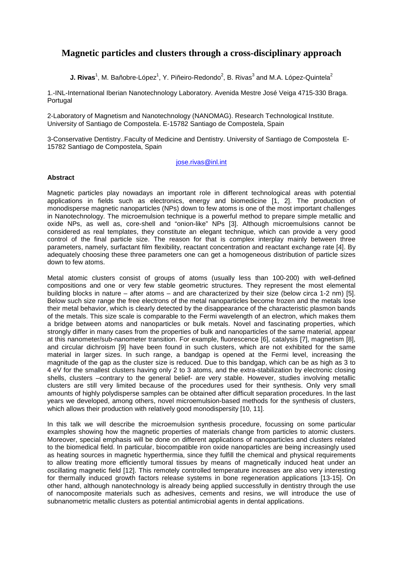## **Magnetic particles and clusters through a cross-disciplinary approach**

**J. Rivas**<sup>1</sup>, M. Bañobre-López<sup>1</sup>, Y. Piñeiro-Redondo<sup>2</sup>, B. Rivas<sup>3</sup> and M.A. López-Quintela<sup>2</sup>

1.-INL-International Iberian Nanotechnology Laboratory. Avenida Mestre José Veiga 4715-330 Braga. Portugal

2-Laboratory of Magnetism and Nanotechnology (NANOMAG). Research Technological Institute. University of Santiago de Compostela. E-15782 Santiago de Compostela, Spain

3-Conservative Dentistry..Faculty of Medicine and Dentistry. University of Santiago de Compostela E-15782 Santiago de Compostela, Spain

jose.rivas@inl.int

## **Abstract**

Magnetic particles play nowadays an important role in different technological areas with potential applications in fields such as electronics, energy and biomedicine [1, 2]. The production of monodisperse magnetic nanoparticles (NPs) down to few atoms is one of the most important challenges in Nanotechnology. The microemulsion technique is a powerful method to prepare simple metallic and oxide NPs, as well as, core-shell and "onion-like" NPs [3]. Although microemulsions cannot be considered as real templates, they constitute an elegant technique, which can provide a very good control of the final particle size. The reason for that is complex interplay mainly between three parameters, namely, surfactant film flexibility, reactant concentration and reactant exchange rate [4]. By adequately choosing these three parameters one can get a homogeneous distribution of particle sizes down to few atoms.

Metal atomic clusters consist of groups of atoms (usually less than 100-200) with well-defined compositions and one or very few stable geometric structures. They represent the most elemental building blocks in nature – after atoms – and are characterized by their size (below circa 1-2 nm) [5]. Below such size range the free electrons of the metal nanoparticles become frozen and the metals lose their metal behavior, which is clearly detected by the disappearance of the characteristic plasmon bands of the metals. This size scale is comparable to the Fermi wavelength of an electron, which makes them a bridge between atoms and nanoparticles or bulk metals. Novel and fascinating properties, which strongly differ in many cases from the properties of bulk and nanoparticles of the same material, appear at this nanometer/sub-nanometer transition. For example, fluorescence [6], catalysis [7], magnetism [8], and circular dichroism [9] have been found in such clusters, which are not exhibited for the same material in larger sizes. In such range, a bandgap is opened at the Fermi level, increasing the magnitude of the gap as the cluster size is reduced. Due to this bandgap, which can be as high as 3 to 4 eV for the smallest clusters having only 2 to 3 atoms, and the extra-stabilization by electronic closing shells, clusters –contrary to the general belief- are very stable. However, studies involving metallic clusters are still very limited because of the procedures used for their synthesis. Only very small amounts of highly polydisperse samples can be obtained after difficult separation procedures. In the last years we developed, among others, novel microemulsion-based methods for the synthesis of clusters, which allows their production with relatively good monodispersity [10, 11].

In this talk we will describe the microemulsion synthesis procedure, focussing on some particular examples showing how the magnetic properties of materials change from particles to atomic clusters. Moreover, special emphasis will be done on different applications of nanoparticles and clusters related to the biomedical field. In particular, biocompatible iron oxide nanoparticles are being increasingly used as heating sources in magnetic hyperthermia, since they fulfill the chemical and physical requirements to allow treating more efficiently tumoral tissues by means of magnetically induced heat under an oscillating magnetic field [12]. This remotely controlled temperature increases are also very interesting for thermally induced growth factors release systems in bone regeneration applications [13-15]. On other hand, although nanotechnology is already being applied successfully in dentistry through the use of nanocomposite materials such as adhesives, cements and resins, we will introduce the use of subnanometric metallic clusters as potential antimicrobial agents in dental applications.